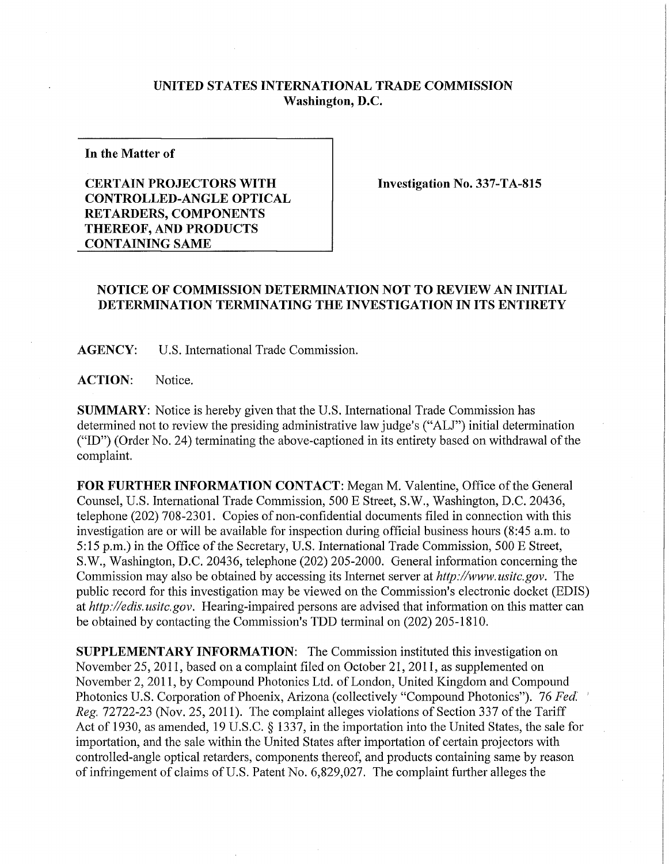## **UNITED STATES INTERNATIONAL TRADE COMMISSION Washington, D.C.**

**In the Matter of** 

## **CERTAIN PROJECTORS WITH CONTROLLED-ANGLE OPTICAL RETARDERS, COMPONENTS THEREOF, AND PRODUCTS CONTAINING SAME**

**Investigation No. 337-TA-815** 

## **NOTICE OF COMMISSION DETERMINATION NOT TO REVIEW AN INITIAL DETERMINATION TERMINATING THE INVESTIGATION IN ITS ENTIRET Y**

**AGENCY:** U.S. International Trade Commission.

**ACTION:** Notice.

**SUMMARY:** Notice is hereby given that the U.S. International Trade Commission has determined not to review the presiding administrative law judge's ("ALJ") initial determination ("ID") (Order No. 24) terminating the above-captioned in its entirety based on withdrawal of the complaint.

**FOR FURTHER INFORMATION CONTACT:** Megan M. Valentine, Office of the General Counsel, U.S. International Trade Commission, 500 E Street, S.W., Washington, D.C. 20436, telephone (202) 708-2301. Copies of non-confidential documents filed in connection with this investigation are or will be available for inspection during official business hours (8:45 a.m. to 5:15 p.m.) in the Office of the Secretary, U.S. International Trade Commission, 500 E Street, S.W., Washington, D.C. 20436, telephone (202) 205-2000. General information concerning the Commission may also be obtained by accessing its Internet server at *http://www.usitc.gov.* The public record for this investigation may be viewed on the Commission's electronic docket (EDIS) at *http://edis.usitc.gov.* Hearing-impaired persons are advised that information on this matter can be obtained by contacting the Commission's TDD terminal on (202) 205-1810.

**SUPPLEMENTARY INFORMATION:** The Commission instituted this investigation on November 25, 2011, based on a complaint filed on October 21, 2011, as supplemented on November 2, 2011, by Compound Photonics Ltd. of London, United Kingdom and Compound Photonics U.S. Corporation of Phoenix, Arizona (collectively "Compound Photonics"). 76 *Fed. ' Reg.* 72722-23 (Nov. 25, 2011). The complaint alleges violations of Section 337 of the Tariff Act of 1930, as amended, 19 U.S.C. § 1337, in the importation into the United States, the sale for importation, and the sale within the United States after importation of certain projectors with controlled-angle optical retarders, components thereof, and products containing same by reason of infringement of claims of U.S. Patent No. 6,829,027. The complaint further alleges the